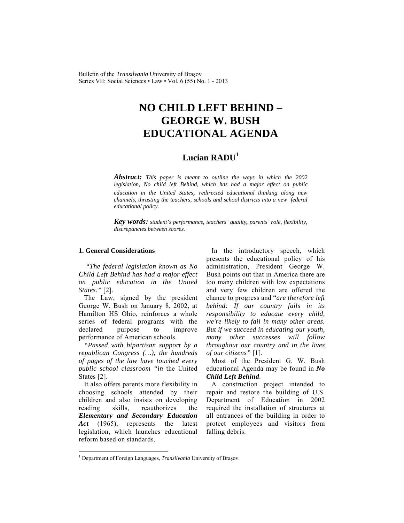Bulletin of the *Transilvania* University of Braşov Series VII: Social Sciences • Law • Vol. 6 (55) No. 1 - 2013

# **NO CHILD LEFT BEHIND – GEORGE W. BUSH EDUCATIONAL AGENDA**

# **Lucian RADU<sup>1</sup>**

*Abstract: This paper is meant to outline the ways in which the 2002 legislation, No child left Behind, which has had a major effect on public education in the United States, redirected educational thinking along new channels, thrusting the teachers, schools and school districts into a new federal educational policy.*

*Key words: student's performance, teachers` quality, parents` role, flexibility, discrepancies between scores.*

#### **1. General Considerations**

 *"The federal legislation known as No Child Left Behind has had a major effect on public education in the United States."* [2].

The Law, signed by the president George W. Bush on January 8, 2002, at Hamilton HS Ohio, reinforces a whole series of federal programs with the declared purpose to improve performance of American schools.

*"Passed with bipartisan support by a republican Congress (…), the hundreds of pages of the law have touched every public school classroom "in* the United States [2].

It also offers parents more flexibility in choosing schools attended by their children and also insists on developing reading skills, reauthorizes the *Elementary and Secondary Education Act* (1965), represents the latest legislation, which launches educational reform based on standards.

 $\overline{\phantom{a}}$ 

In the introductory speech, which presents the educational policy of his administration, President George W. Bush points out that in America there are too many children with low expectations and very few children are offered the chance to progress and "*are therefore left behind: If our country fails in its responsibility to educate every child, we're likely to fail in many other areas. But if we succeed in educating our youth, many other successes will follow throughout our country and in the lives of our citizens"* [1].

Most of the President G. W. Bush educational Agenda may be found in *No Child Left Behind*.

A construction project intended to repair and restore the building of U.S. Department of Education in 2002 required the installation of structures at all entrances of the building in order to protect employees and visitors from falling debris.

<sup>&</sup>lt;sup>1</sup> Department of Foreign Languages, *Transilvania* University of Brașov.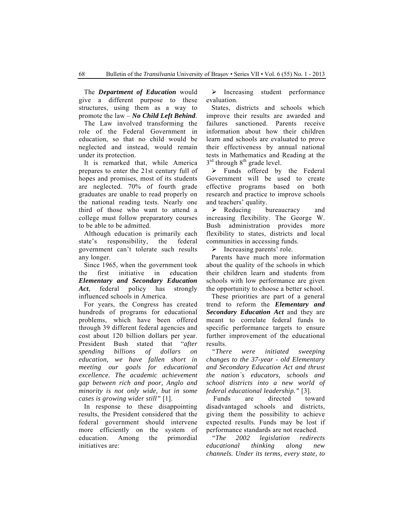The *Department of Education* would give a different purpose to these structures, using them as a way to promote the law – *No Child Left Behind*.

The Law involved transforming the role of the Federal Government in education, so that no child would be neglected and instead, would remain under its protection.

It is remarked that, while America prepares to enter the 21st century full of hopes and promises, most of its students are neglected. 70% of fourth grade graduates are unable to read properly on the national reading tests. Nearly one third of those who want to attend a college must follow preparatory courses to be able to be admitted.

Although education is primarily each state's responsibility, the federal government can't tolerate such results any longer.

Since 1965, when the government took the first initiative in education *Elementary and Secondary Education*  Act, federal policy has strongly influenced schools in America.

For years, the Congress has created hundreds of programs for educational problems, which have been offered through 39 different federal agencies and cost about 120 billion dollars per year. President Bush stated that "*after spending billions of dollars on education, we have fallen short in meeting our goals for educational excellence. The academic achievement gap between rich and poor, Anglo and minority is not only wide, but in some cases is growing wider still"* [1].

In response to these disappointing results, the President considered that the federal government should intervene more efficiently on the system of education. Among the primordial initiatives are:

 $\triangleright$  Increasing student performance evaluation.

States, districts and schools which improve their results are awarded and failures sanctioned. Parents receive information about how their children learn and schools are evaluated to prove their effectiveness by annual national tests in Mathematics and Reading at the  $3<sup>rd</sup>$  through  $8<sup>th</sup>$  grade level.

 $\triangleright$  Funds offered by the Federal Government will be used to create effective programs based on both research and practice to improve schools and teachers' quality.

 $\triangleright$  Reducing bureaucracy and increasing flexibility. The George W. Bush administration provides more flexibility to states, districts and local communities in accessing funds.

 $\triangleright$  Increasing parents' role.

Parents have much more information about the quality of the schools in which their children learn and students from schools with low performance are given the opportunity to choose a better school.

These priorities are part of a general trend to reform the *Elementary and Secondary Education Act* and they are meant to correlate federal funds to specific performance targets to ensure further improvement of the educational results.

*"There were initiated sweeping changes to the 37-year - old Elementary and Secondary Education Act and thrust the nation`s educators, schools and school districts into a new world of federal educational leadership."* [3].

Funds are directed toward disadvantaged schools and districts, giving them the possibility to achieve expected results. Funds may be lost if performance standards are not reached.

*"The 2002 legislation redirects educational thinking along new channels. Under its terms, every state, to*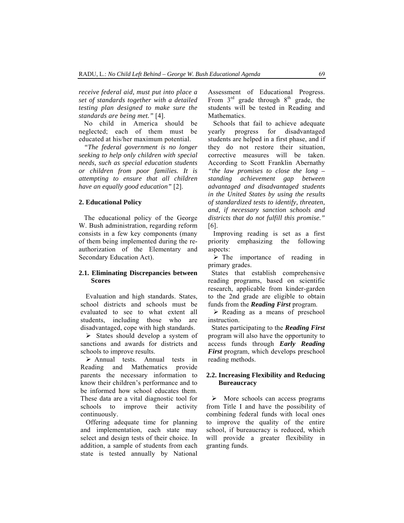*receive federal aid, must put into place a set of standards together with a detailed testing plan designed to make sure the standards are being met."* [4].

No child in America should be neglected; each of them must be educated at his/her maximum potential.

*"The federal government is no longer seeking to help only children with special needs, such as special education students or children from poor families. It is attempting to ensure that all children have an equally good education"* [2].

#### **2. Educational Policy**

The educational policy of the George W. Bush administration, regarding reform consists in a few key components (many of them being implemented during the reauthorization of the Elementary and Secondary Education Act).

#### **2.1. Eliminating Discrepancies between Scores**

Evaluation and high standards. States, school districts and schools must be evaluated to see to what extent all students, including those who are disadvantaged, cope with high standards.

 $\triangleright$  States should develop a system of sanctions and awards for districts and schools to improve results.

 $\triangleright$  Annual tests. Annual tests in Reading and Mathematics provide parents the necessary information to know their children's performance and to be informed how school educates them. These data are a vital diagnostic tool for schools to improve their activity continuously.

Offering adequate time for planning and implementation, each state may select and design tests of their choice. In addition, a sample of students from each state is tested annually by National Assessment of Educational Progress. From  $3<sup>rd</sup>$  grade through  $8<sup>th</sup>$  grade, the students will be tested in Reading and **Mathematics** 

Schools that fail to achieve adequate yearly progress for disadvantaged students are helped in a first phase, and if they do not restore their situation, corrective measures will be taken. According to Scott Franklin Abernathy *"the law promises to close the long – standing achievement gap between advantaged and disadvantaged students in the United States by using the results of standardized tests to identify, threaten, and, if necessary sanction schools and districts that do not fulfill this promise."* [6].

Improving reading is set as a first priority emphasizing the following aspects:

 $\triangleright$  The importance of reading in primary grades.

States that establish comprehensive reading programs, based on scientific research, applicable from kinder-garden to the 2nd grade are eligible to obtain funds from the *Reading First* program.

 $\triangleright$  Reading as a means of preschool instruction.

States participating to the *Reading First*  program will also have the opportunity to access funds through *Early Reading First* program, which develops preschool reading methods.

## **2.2. Increasing Flexibility and Reducing Bureaucracy**

 $\triangleright$  More schools can access programs from Title I and have the possibility of combining federal funds with local ones to improve the quality of the entire school, if bureaucracy is reduced, which will provide a greater flexibility in granting funds.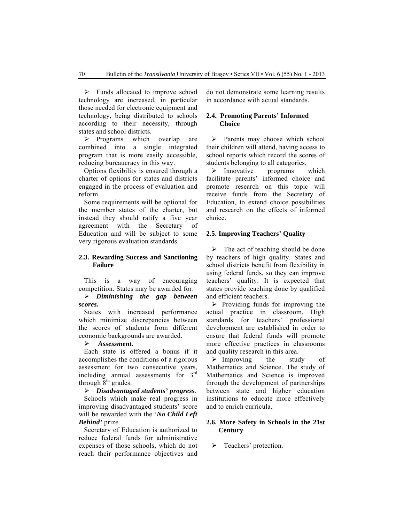$\triangleright$  Funds allocated to improve school technology are increased, in particular those needed for electronic equipment and technology, being distributed to schools according to their necessity, through states and school districts.

 $\triangleright$  Programs which overlap are combined into a single integrated program that is more easily accessible, reducing bureaucracy in this way.

Options flexibility is ensured through a charter of options for states and districts engaged in the process of evaluation and reform.

Some requirements will be optional for the member states of the charter, but instead they should ratify a five year agreement with the Secretary of Education and will be subject to some very rigorous evaluation standards.

## **2.3. Rewarding Success and Sanctioning Failure**

This is a way of encouraging competition. States may be awarded for:

¾ *Diminishing the gap between scores.* 

States with increased performance which minimize discrepancies between the scores of students from different economic backgrounds are awarded.

#### ¾ *Assessment.*

Each state is offered a bonus if it accomplishes the conditions of a rigorous assessment for two consecutive years, including annual assessments for  $3<sup>rd</sup>$ through  $8<sup>th</sup>$  grades.

#### ¾ *Disadvantaged students' progress*.

Schools which make real progress in improving disadvantaged students' score will be rewarded with the '*No Child Left Behind'* prize.

Secretary of Education is authorized to reduce federal funds for administrative expenses of those schools, which do not reach their performance objectives and do not demonstrate some learning results in accordance with actual standards.

#### **2.4. Promoting Parents' Informed Choice**

 $\triangleright$  Parents may choose which school their children will attend, having access to school reports which record the scores of students belonging to all categories.

 $\triangleright$  Innovative programs which facilitate parents' informed choice and promote research on this topic will receive funds from the Secretary of Education, to extend choice possibilities and research on the effects of informed choice.

#### **2.5. Improving Teachers' Quality**

 $\triangleright$  The act of teaching should be done by teachers of high quality. States and school districts benefit from flexibility in using federal funds, so they can improve teachers' quality. It is expected that states provide teaching done by qualified and efficient teachers.

 $\triangleright$  Providing funds for improving the actual practice in classroom. High standards for teachers' professional development are established in order to ensure that federal funds will promote more effective practices in classrooms and quality research in this area.

 $\triangleright$  Improving the study of Mathematics and Science. The study of Mathematics and Science is improved through the development of partnerships between state and higher education institutions to educate more effectively and to enrich curricula.

# **2.6. More Safety in Schools in the 21st Century**

¾ Teachers' protection.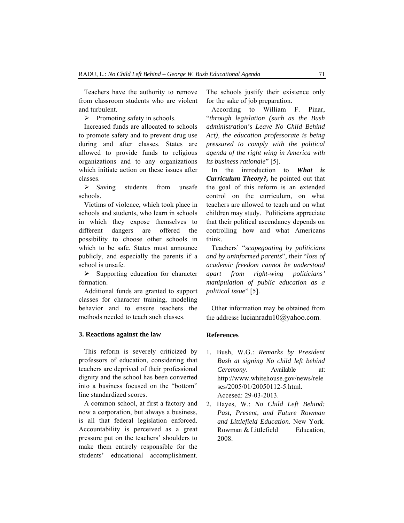Teachers have the authority to remove from classroom students who are violent and turbulent.

 $\triangleright$  Promoting safety in schools.

Increased funds are allocated to schools to promote safety and to prevent drug use during and after classes. States are allowed to provide funds to religious organizations and to any organizations which initiate action on these issues after classes.

¾ Saving students from unsafe schools.

Victims of violence, which took place in schools and students, who learn in schools in which they expose themselves to different dangers are offered the possibility to choose other schools in which to be safe. States must announce publicly, and especially the parents if a school is unsafe.

 $\triangleright$  Supporting education for character formation.

Additional funds are granted to support classes for character training, modeling behavior and to ensure teachers the methods needed to teach such classes.

#### **3. Reactions against the law**

This reform is severely criticized by professors of education, considering that teachers are deprived of their professional dignity and the school has been converted into a business focused on the "bottom" line standardized scores.

A common school, at first a factory and now a corporation, but always a business, is all that federal legislation enforced. Accountability is perceived as a great pressure put on the teachers' shoulders to make them entirely responsible for the students' educational accomplishment. The schools justify their existence only for the sake of job preparation.

According to William F. Pinar, "*through legislation (such as the Bush administration's Leave No Child Behind Act), the education professorate is being pressured to comply with the political agenda of the right wing in America with its business rationale*" [5].

In the introduction to *What is Curriculum Theory?,* he pointed out that the goal of this reform is an extended control on the curriculum, on what teachers are allowed to teach and on what children may study. Politicians appreciate that their political ascendancy depends on controlling how and what Americans think.

Teachers` "*scapegoating by politicians and by uninformed parents*", their "*loss of academic freedom cannot be understood apart from right-wing politicians' manipulation of public education as a political issue*" [5].

Other information may be obtained from the address**:** lucianradu10@yahoo.com.

#### **References**

- 1. Bush, W.G.: *Remarks by President Bush at signing No child left behind Ceremony*. Available at: http://www.whitehouse.gov/news/rele ses/2005/01/20050112-5.html. Accesed: 29-03-2013.
- 2. Hayes, W.: *No Child Left Behind: Past, Present, and Future Rowman and Littlefield Education*. New York. Rowman & Littlefield Education. 2008.